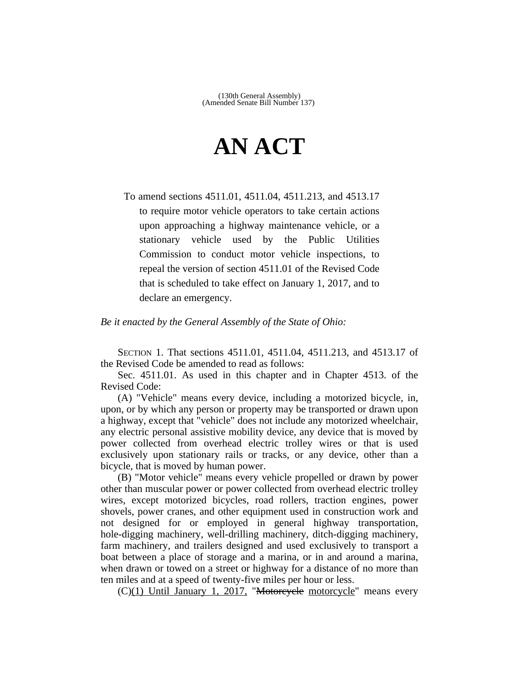## **AN ACT**

To amend sections 4511.01, 4511.04, 4511.213, and 4513.17

to require motor vehicle operators to take certain actions upon approaching a highway maintenance vehicle, or a stationary vehicle used by the Public Utilities Commission to conduct motor vehicle inspections, to repeal the version of section 4511.01 of the Revised Code that is scheduled to take effect on January 1, 2017, and to declare an emergency.

*Be it enacted by the General Assembly of the State of Ohio:*

SECTION 1. That sections 4511.01, 4511.04, 4511.213, and 4513.17 of the Revised Code be amended to read as follows:

Sec. 4511.01. As used in this chapter and in Chapter 4513. of the Revised Code:

(A) "Vehicle" means every device, including a motorized bicycle, in, upon, or by which any person or property may be transported or drawn upon a highway, except that "vehicle" does not include any motorized wheelchair, any electric personal assistive mobility device, any device that is moved by power collected from overhead electric trolley wires or that is used exclusively upon stationary rails or tracks, or any device, other than a bicycle, that is moved by human power.

(B) "Motor vehicle" means every vehicle propelled or drawn by power other than muscular power or power collected from overhead electric trolley wires, except motorized bicycles, road rollers, traction engines, power shovels, power cranes, and other equipment used in construction work and not designed for or employed in general highway transportation, hole-digging machinery, well-drilling machinery, ditch-digging machinery, farm machinery, and trailers designed and used exclusively to transport a boat between a place of storage and a marina, or in and around a marina, when drawn or towed on a street or highway for a distance of no more than ten miles and at a speed of twenty-five miles per hour or less.

(C)(1) Until January 1, 2017, "Motorcycle motorcycle" means every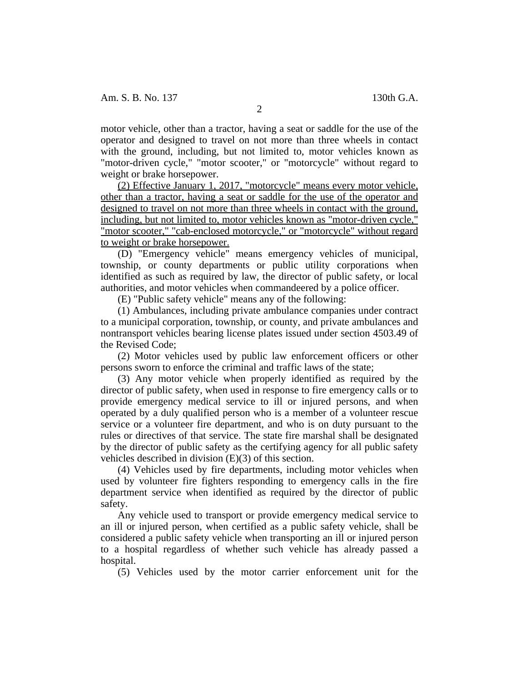motor vehicle, other than a tractor, having a seat or saddle for the use of the operator and designed to travel on not more than three wheels in contact with the ground, including, but not limited to, motor vehicles known as "motor-driven cycle," "motor scooter," or "motorcycle" without regard to weight or brake horsepower.

(2) Effective January 1, 2017, "motorcycle" means every motor vehicle, other than a tractor, having a seat or saddle for the use of the operator and designed to travel on not more than three wheels in contact with the ground, including, but not limited to, motor vehicles known as "motor-driven cycle," "motor scooter," "cab-enclosed motorcycle," or "motorcycle" without regard to weight or brake horsepower.

(D) "Emergency vehicle" means emergency vehicles of municipal, township, or county departments or public utility corporations when identified as such as required by law, the director of public safety, or local authorities, and motor vehicles when commandeered by a police officer.

(E) "Public safety vehicle" means any of the following:

(1) Ambulances, including private ambulance companies under contract to a municipal corporation, township, or county, and private ambulances and nontransport vehicles bearing license plates issued under section 4503.49 of the Revised Code;

(2) Motor vehicles used by public law enforcement officers or other persons sworn to enforce the criminal and traffic laws of the state;

(3) Any motor vehicle when properly identified as required by the director of public safety, when used in response to fire emergency calls or to provide emergency medical service to ill or injured persons, and when operated by a duly qualified person who is a member of a volunteer rescue service or a volunteer fire department, and who is on duty pursuant to the rules or directives of that service. The state fire marshal shall be designated by the director of public safety as the certifying agency for all public safety vehicles described in division (E)(3) of this section.

(4) Vehicles used by fire departments, including motor vehicles when used by volunteer fire fighters responding to emergency calls in the fire department service when identified as required by the director of public safety.

Any vehicle used to transport or provide emergency medical service to an ill or injured person, when certified as a public safety vehicle, shall be considered a public safety vehicle when transporting an ill or injured person to a hospital regardless of whether such vehicle has already passed a hospital.

(5) Vehicles used by the motor carrier enforcement unit for the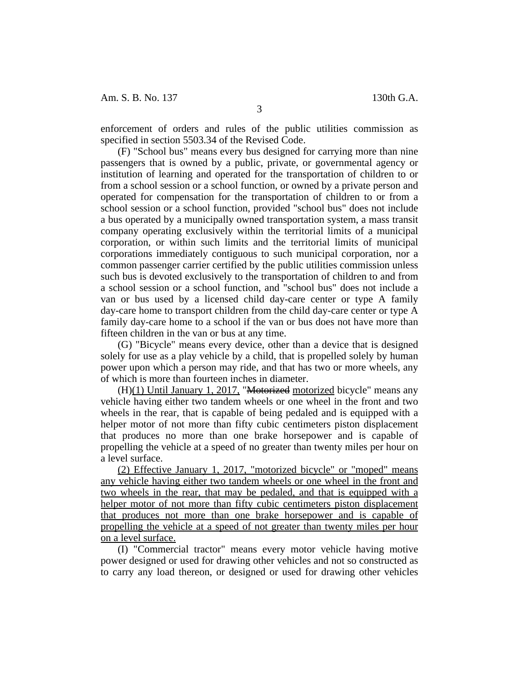enforcement of orders and rules of the public utilities commission as specified in section 5503.34 of the Revised Code.

(F) "School bus" means every bus designed for carrying more than nine passengers that is owned by a public, private, or governmental agency or institution of learning and operated for the transportation of children to or from a school session or a school function, or owned by a private person and operated for compensation for the transportation of children to or from a school session or a school function, provided "school bus" does not include a bus operated by a municipally owned transportation system, a mass transit company operating exclusively within the territorial limits of a municipal corporation, or within such limits and the territorial limits of municipal corporations immediately contiguous to such municipal corporation, nor a common passenger carrier certified by the public utilities commission unless such bus is devoted exclusively to the transportation of children to and from a school session or a school function, and "school bus" does not include a van or bus used by a licensed child day-care center or type A family day-care home to transport children from the child day-care center or type A family day-care home to a school if the van or bus does not have more than fifteen children in the van or bus at any time.

(G) "Bicycle" means every device, other than a device that is designed solely for use as a play vehicle by a child, that is propelled solely by human power upon which a person may ride, and that has two or more wheels, any of which is more than fourteen inches in diameter.

 $(H)(1)$  Until January 1, 2017, "Motorized motorized bicycle" means any vehicle having either two tandem wheels or one wheel in the front and two wheels in the rear, that is capable of being pedaled and is equipped with a helper motor of not more than fifty cubic centimeters piston displacement that produces no more than one brake horsepower and is capable of propelling the vehicle at a speed of no greater than twenty miles per hour on a level surface.

(2) Effective January 1, 2017, "motorized bicycle" or "moped" means any vehicle having either two tandem wheels or one wheel in the front and two wheels in the rear, that may be pedaled, and that is equipped with a helper motor of not more than fifty cubic centimeters piston displacement that produces not more than one brake horsepower and is capable of propelling the vehicle at a speed of not greater than twenty miles per hour on a level surface.

(I) "Commercial tractor" means every motor vehicle having motive power designed or used for drawing other vehicles and not so constructed as to carry any load thereon, or designed or used for drawing other vehicles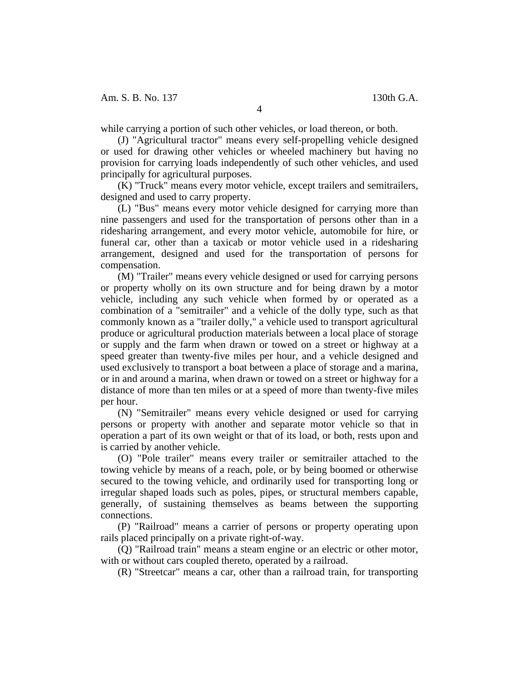4

while carrying a portion of such other vehicles, or load thereon, or both.

(J) "Agricultural tractor" means every self-propelling vehicle designed or used for drawing other vehicles or wheeled machinery but having no provision for carrying loads independently of such other vehicles, and used principally for agricultural purposes.

(K) "Truck" means every motor vehicle, except trailers and semitrailers, designed and used to carry property.

(L) "Bus" means every motor vehicle designed for carrying more than nine passengers and used for the transportation of persons other than in a ridesharing arrangement, and every motor vehicle, automobile for hire, or funeral car, other than a taxicab or motor vehicle used in a ridesharing arrangement, designed and used for the transportation of persons for compensation.

(M) "Trailer" means every vehicle designed or used for carrying persons or property wholly on its own structure and for being drawn by a motor vehicle, including any such vehicle when formed by or operated as a combination of a "semitrailer" and a vehicle of the dolly type, such as that commonly known as a "trailer dolly," a vehicle used to transport agricultural produce or agricultural production materials between a local place of storage or supply and the farm when drawn or towed on a street or highway at a speed greater than twenty-five miles per hour, and a vehicle designed and used exclusively to transport a boat between a place of storage and a marina, or in and around a marina, when drawn or towed on a street or highway for a distance of more than ten miles or at a speed of more than twenty-five miles per hour.

(N) "Semitrailer" means every vehicle designed or used for carrying persons or property with another and separate motor vehicle so that in operation a part of its own weight or that of its load, or both, rests upon and is carried by another vehicle.

(O) "Pole trailer" means every trailer or semitrailer attached to the towing vehicle by means of a reach, pole, or by being boomed or otherwise secured to the towing vehicle, and ordinarily used for transporting long or irregular shaped loads such as poles, pipes, or structural members capable, generally, of sustaining themselves as beams between the supporting connections.

(P) "Railroad" means a carrier of persons or property operating upon rails placed principally on a private right-of-way.

(Q) "Railroad train" means a steam engine or an electric or other motor, with or without cars coupled thereto, operated by a railroad.

(R) "Streetcar" means a car, other than a railroad train, for transporting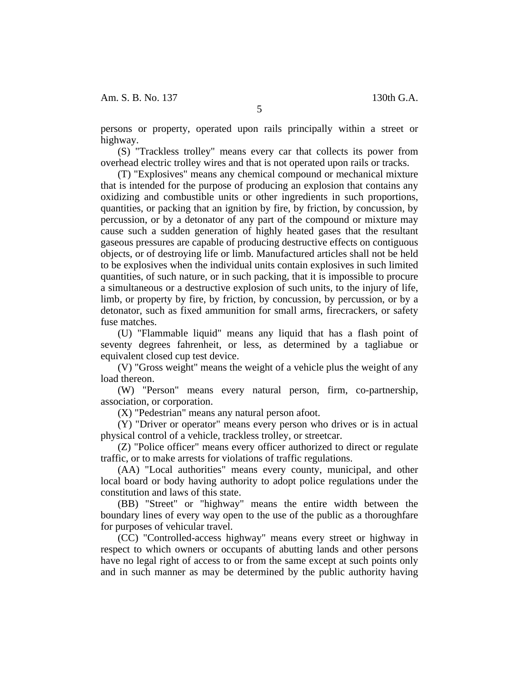persons or property, operated upon rails principally within a street or highway.

(S) "Trackless trolley" means every car that collects its power from overhead electric trolley wires and that is not operated upon rails or tracks.

(T) "Explosives" means any chemical compound or mechanical mixture that is intended for the purpose of producing an explosion that contains any oxidizing and combustible units or other ingredients in such proportions, quantities, or packing that an ignition by fire, by friction, by concussion, by percussion, or by a detonator of any part of the compound or mixture may cause such a sudden generation of highly heated gases that the resultant gaseous pressures are capable of producing destructive effects on contiguous objects, or of destroying life or limb. Manufactured articles shall not be held to be explosives when the individual units contain explosives in such limited quantities, of such nature, or in such packing, that it is impossible to procure a simultaneous or a destructive explosion of such units, to the injury of life, limb, or property by fire, by friction, by concussion, by percussion, or by a detonator, such as fixed ammunition for small arms, firecrackers, or safety fuse matches.

(U) "Flammable liquid" means any liquid that has a flash point of seventy degrees fahrenheit, or less, as determined by a tagliabue or equivalent closed cup test device.

(V) "Gross weight" means the weight of a vehicle plus the weight of any load thereon.

(W) "Person" means every natural person, firm, co-partnership, association, or corporation.

(X) "Pedestrian" means any natural person afoot.

(Y) "Driver or operator" means every person who drives or is in actual physical control of a vehicle, trackless trolley, or streetcar.

(Z) "Police officer" means every officer authorized to direct or regulate traffic, or to make arrests for violations of traffic regulations.

(AA) "Local authorities" means every county, municipal, and other local board or body having authority to adopt police regulations under the constitution and laws of this state.

(BB) "Street" or "highway" means the entire width between the boundary lines of every way open to the use of the public as a thoroughfare for purposes of vehicular travel.

(CC) "Controlled-access highway" means every street or highway in respect to which owners or occupants of abutting lands and other persons have no legal right of access to or from the same except at such points only and in such manner as may be determined by the public authority having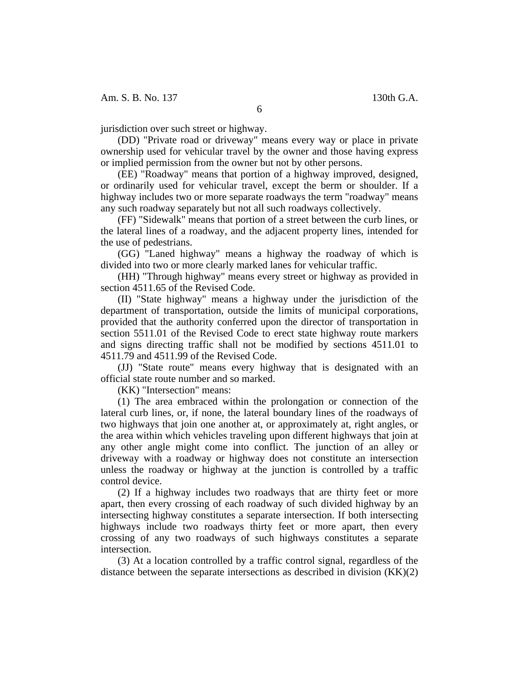jurisdiction over such street or highway.

(DD) "Private road or driveway" means every way or place in private ownership used for vehicular travel by the owner and those having express or implied permission from the owner but not by other persons.

(EE) "Roadway" means that portion of a highway improved, designed, or ordinarily used for vehicular travel, except the berm or shoulder. If a highway includes two or more separate roadways the term "roadway" means any such roadway separately but not all such roadways collectively.

(FF) "Sidewalk" means that portion of a street between the curb lines, or the lateral lines of a roadway, and the adjacent property lines, intended for the use of pedestrians.

(GG) "Laned highway" means a highway the roadway of which is divided into two or more clearly marked lanes for vehicular traffic.

(HH) "Through highway" means every street or highway as provided in section 4511.65 of the Revised Code.

(II) "State highway" means a highway under the jurisdiction of the department of transportation, outside the limits of municipal corporations, provided that the authority conferred upon the director of transportation in section 5511.01 of the Revised Code to erect state highway route markers and signs directing traffic shall not be modified by sections 4511.01 to 4511.79 and 4511.99 of the Revised Code.

(JJ) "State route" means every highway that is designated with an official state route number and so marked.

(KK) "Intersection" means:

(1) The area embraced within the prolongation or connection of the lateral curb lines, or, if none, the lateral boundary lines of the roadways of two highways that join one another at, or approximately at, right angles, or the area within which vehicles traveling upon different highways that join at any other angle might come into conflict. The junction of an alley or driveway with a roadway or highway does not constitute an intersection unless the roadway or highway at the junction is controlled by a traffic control device.

(2) If a highway includes two roadways that are thirty feet or more apart, then every crossing of each roadway of such divided highway by an intersecting highway constitutes a separate intersection. If both intersecting highways include two roadways thirty feet or more apart, then every crossing of any two roadways of such highways constitutes a separate intersection.

(3) At a location controlled by a traffic control signal, regardless of the distance between the separate intersections as described in division (KK)(2)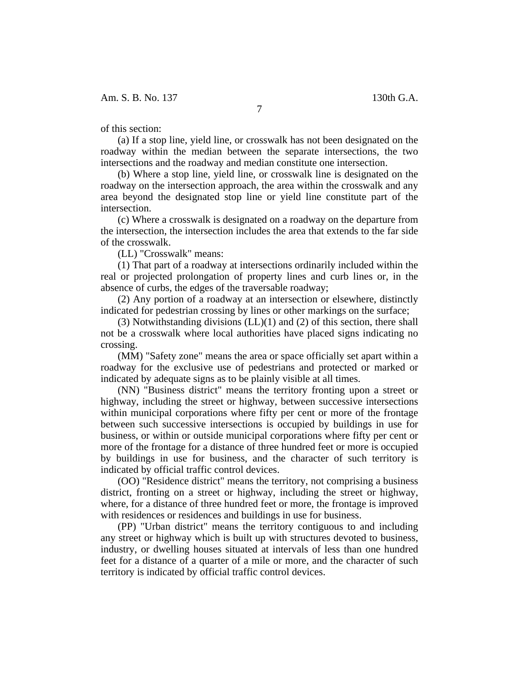of this section:

(a) If a stop line, yield line, or crosswalk has not been designated on the roadway within the median between the separate intersections, the two intersections and the roadway and median constitute one intersection.

(b) Where a stop line, yield line, or crosswalk line is designated on the roadway on the intersection approach, the area within the crosswalk and any area beyond the designated stop line or yield line constitute part of the intersection.

(c) Where a crosswalk is designated on a roadway on the departure from the intersection, the intersection includes the area that extends to the far side of the crosswalk.

(LL) "Crosswalk" means:

(1) That part of a roadway at intersections ordinarily included within the real or projected prolongation of property lines and curb lines or, in the absence of curbs, the edges of the traversable roadway;

(2) Any portion of a roadway at an intersection or elsewhere, distinctly indicated for pedestrian crossing by lines or other markings on the surface;

(3) Notwithstanding divisions (LL)(1) and (2) of this section, there shall not be a crosswalk where local authorities have placed signs indicating no crossing.

(MM) "Safety zone" means the area or space officially set apart within a roadway for the exclusive use of pedestrians and protected or marked or indicated by adequate signs as to be plainly visible at all times.

(NN) "Business district" means the territory fronting upon a street or highway, including the street or highway, between successive intersections within municipal corporations where fifty per cent or more of the frontage between such successive intersections is occupied by buildings in use for business, or within or outside municipal corporations where fifty per cent or more of the frontage for a distance of three hundred feet or more is occupied by buildings in use for business, and the character of such territory is indicated by official traffic control devices.

(OO) "Residence district" means the territory, not comprising a business district, fronting on a street or highway, including the street or highway, where, for a distance of three hundred feet or more, the frontage is improved with residences or residences and buildings in use for business.

(PP) "Urban district" means the territory contiguous to and including any street or highway which is built up with structures devoted to business, industry, or dwelling houses situated at intervals of less than one hundred feet for a distance of a quarter of a mile or more, and the character of such territory is indicated by official traffic control devices.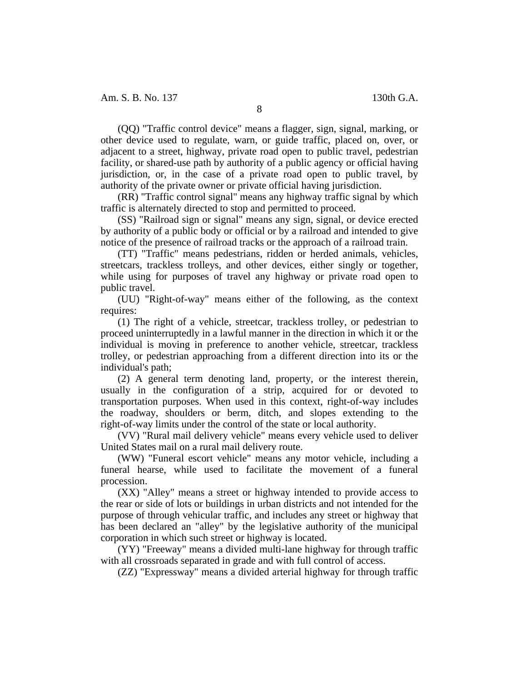(QQ) "Traffic control device" means a flagger, sign, signal, marking, or other device used to regulate, warn, or guide traffic, placed on, over, or adjacent to a street, highway, private road open to public travel, pedestrian facility, or shared-use path by authority of a public agency or official having jurisdiction, or, in the case of a private road open to public travel, by authority of the private owner or private official having jurisdiction.

(RR) "Traffic control signal" means any highway traffic signal by which traffic is alternately directed to stop and permitted to proceed.

(SS) "Railroad sign or signal" means any sign, signal, or device erected by authority of a public body or official or by a railroad and intended to give notice of the presence of railroad tracks or the approach of a railroad train.

(TT) "Traffic" means pedestrians, ridden or herded animals, vehicles, streetcars, trackless trolleys, and other devices, either singly or together, while using for purposes of travel any highway or private road open to public travel.

(UU) "Right-of-way" means either of the following, as the context requires:

(1) The right of a vehicle, streetcar, trackless trolley, or pedestrian to proceed uninterruptedly in a lawful manner in the direction in which it or the individual is moving in preference to another vehicle, streetcar, trackless trolley, or pedestrian approaching from a different direction into its or the individual's path;

(2) A general term denoting land, property, or the interest therein, usually in the configuration of a strip, acquired for or devoted to transportation purposes. When used in this context, right-of-way includes the roadway, shoulders or berm, ditch, and slopes extending to the right-of-way limits under the control of the state or local authority.

(VV) "Rural mail delivery vehicle" means every vehicle used to deliver United States mail on a rural mail delivery route.

(WW) "Funeral escort vehicle" means any motor vehicle, including a funeral hearse, while used to facilitate the movement of a funeral procession.

(XX) "Alley" means a street or highway intended to provide access to the rear or side of lots or buildings in urban districts and not intended for the purpose of through vehicular traffic, and includes any street or highway that has been declared an "alley" by the legislative authority of the municipal corporation in which such street or highway is located.

(YY) "Freeway" means a divided multi-lane highway for through traffic with all crossroads separated in grade and with full control of access.

(ZZ) "Expressway" means a divided arterial highway for through traffic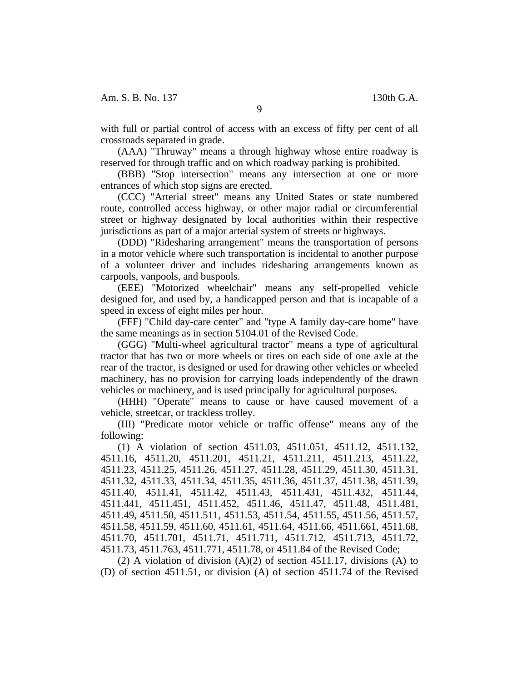with full or partial control of access with an excess of fifty per cent of all crossroads separated in grade.

(AAA) "Thruway" means a through highway whose entire roadway is reserved for through traffic and on which roadway parking is prohibited.

(BBB) "Stop intersection" means any intersection at one or more entrances of which stop signs are erected.

(CCC) "Arterial street" means any United States or state numbered route, controlled access highway, or other major radial or circumferential street or highway designated by local authorities within their respective jurisdictions as part of a major arterial system of streets or highways.

(DDD) "Ridesharing arrangement" means the transportation of persons in a motor vehicle where such transportation is incidental to another purpose of a volunteer driver and includes ridesharing arrangements known as carpools, vanpools, and buspools.

(EEE) "Motorized wheelchair" means any self-propelled vehicle designed for, and used by, a handicapped person and that is incapable of a speed in excess of eight miles per hour.

(FFF) "Child day-care center" and "type A family day-care home" have the same meanings as in section 5104.01 of the Revised Code.

(GGG) "Multi-wheel agricultural tractor" means a type of agricultural tractor that has two or more wheels or tires on each side of one axle at the rear of the tractor, is designed or used for drawing other vehicles or wheeled machinery, has no provision for carrying loads independently of the drawn vehicles or machinery, and is used principally for agricultural purposes.

(HHH) "Operate" means to cause or have caused movement of a vehicle, streetcar, or trackless trolley.

(III) "Predicate motor vehicle or traffic offense" means any of the following:

(1) A violation of section 4511.03, 4511.051, 4511.12, 4511.132, 4511.16, 4511.20, 4511.201, 4511.21, 4511.211, 4511.213, 4511.22, 4511.23, 4511.25, 4511.26, 4511.27, 4511.28, 4511.29, 4511.30, 4511.31, 4511.32, 4511.33, 4511.34, 4511.35, 4511.36, 4511.37, 4511.38, 4511.39, 4511.40, 4511.41, 4511.42, 4511.43, 4511.431, 4511.432, 4511.44, 4511.441, 4511.451, 4511.452, 4511.46, 4511.47, 4511.48, 4511.481, 4511.49, 4511.50, 4511.511, 4511.53, 4511.54, 4511.55, 4511.56, 4511.57, 4511.58, 4511.59, 4511.60, 4511.61, 4511.64, 4511.66, 4511.661, 4511.68, 4511.70, 4511.701, 4511.71, 4511.711, 4511.712, 4511.713, 4511.72, 4511.73, 4511.763, 4511.771, 4511.78, or 4511.84 of the Revised Code;

 $(2)$  A violation of division  $(A)(2)$  of section 4511.17, divisions  $(A)$  to (D) of section 4511.51, or division (A) of section 4511.74 of the Revised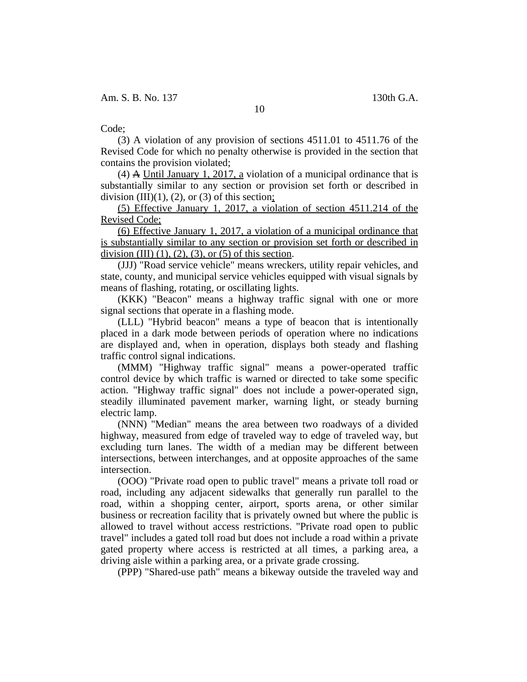Code;

(3) A violation of any provision of sections 4511.01 to 4511.76 of the Revised Code for which no penalty otherwise is provided in the section that contains the provision violated;

(4) A Until January 1, 2017, a violation of a municipal ordinance that is substantially similar to any section or provision set forth or described in division  $(III)(1)$ ,  $(2)$ , or  $(3)$  of this section;

(5) Effective January 1, 2017, a violation of section 4511.214 of the Revised Code;

(6) Effective January 1, 2017, a violation of a municipal ordinance that is substantially similar to any section or provision set forth or described in division (III)  $(1)$ ,  $(2)$ ,  $(3)$ , or  $(5)$  of this section.

(JJJ) "Road service vehicle" means wreckers, utility repair vehicles, and state, county, and municipal service vehicles equipped with visual signals by means of flashing, rotating, or oscillating lights.

(KKK) "Beacon" means a highway traffic signal with one or more signal sections that operate in a flashing mode.

(LLL) "Hybrid beacon" means a type of beacon that is intentionally placed in a dark mode between periods of operation where no indications are displayed and, when in operation, displays both steady and flashing traffic control signal indications.

(MMM) "Highway traffic signal" means a power-operated traffic control device by which traffic is warned or directed to take some specific action. "Highway traffic signal" does not include a power-operated sign, steadily illuminated pavement marker, warning light, or steady burning electric lamp.

(NNN) "Median" means the area between two roadways of a divided highway, measured from edge of traveled way to edge of traveled way, but excluding turn lanes. The width of a median may be different between intersections, between interchanges, and at opposite approaches of the same intersection.

(OOO) "Private road open to public travel" means a private toll road or road, including any adjacent sidewalks that generally run parallel to the road, within a shopping center, airport, sports arena, or other similar business or recreation facility that is privately owned but where the public is allowed to travel without access restrictions. "Private road open to public travel" includes a gated toll road but does not include a road within a private gated property where access is restricted at all times, a parking area, a driving aisle within a parking area, or a private grade crossing.

(PPP) "Shared-use path" means a bikeway outside the traveled way and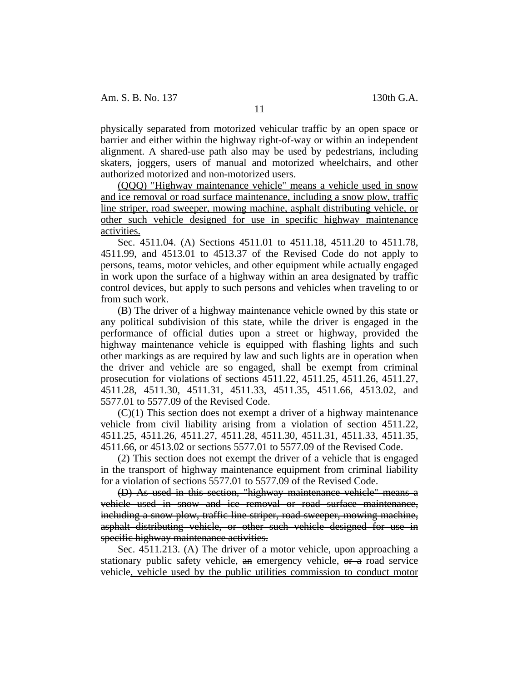physically separated from motorized vehicular traffic by an open space or barrier and either within the highway right-of-way or within an independent alignment. A shared-use path also may be used by pedestrians, including skaters, joggers, users of manual and motorized wheelchairs, and other authorized motorized and non-motorized users.

(QQQ) "Highway maintenance vehicle" means a vehicle used in snow and ice removal or road surface maintenance, including a snow plow, traffic line striper, road sweeper, mowing machine, asphalt distributing vehicle, or other such vehicle designed for use in specific highway maintenance activities.

Sec. 4511.04. (A) Sections 4511.01 to 4511.18, 4511.20 to 4511.78, 4511.99, and 4513.01 to 4513.37 of the Revised Code do not apply to persons, teams, motor vehicles, and other equipment while actually engaged in work upon the surface of a highway within an area designated by traffic control devices, but apply to such persons and vehicles when traveling to or from such work.

(B) The driver of a highway maintenance vehicle owned by this state or any political subdivision of this state, while the driver is engaged in the performance of official duties upon a street or highway, provided the highway maintenance vehicle is equipped with flashing lights and such other markings as are required by law and such lights are in operation when the driver and vehicle are so engaged, shall be exempt from criminal prosecution for violations of sections 4511.22, 4511.25, 4511.26, 4511.27, 4511.28, 4511.30, 4511.31, 4511.33, 4511.35, 4511.66, 4513.02, and 5577.01 to 5577.09 of the Revised Code.

(C)(1) This section does not exempt a driver of a highway maintenance vehicle from civil liability arising from a violation of section 4511.22, 4511.25, 4511.26, 4511.27, 4511.28, 4511.30, 4511.31, 4511.33, 4511.35, 4511.66, or 4513.02 or sections 5577.01 to 5577.09 of the Revised Code.

(2) This section does not exempt the driver of a vehicle that is engaged in the transport of highway maintenance equipment from criminal liability for a violation of sections 5577.01 to 5577.09 of the Revised Code.

(D) As used in this section, "highway maintenance vehicle" means a vehicle used in snow and ice removal or road surface maintenance, including a snow plow, traffic line striper, road sweeper, mowing machine, asphalt distributing vehicle, or other such vehicle designed for use in specific highway maintenance activities.

Sec. 4511.213. (A) The driver of a motor vehicle, upon approaching a stationary public safety vehicle, an emergency vehicle, or a road service vehicle, vehicle used by the public utilities commission to conduct motor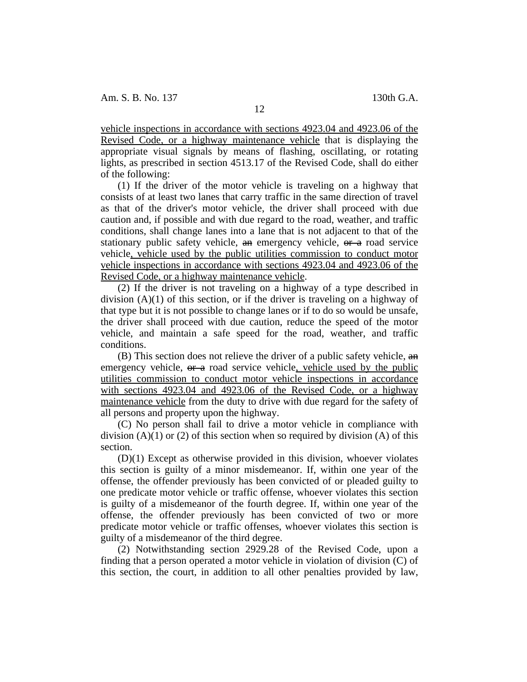vehicle inspections in accordance with sections 4923.04 and 4923.06 of the Revised Code, or a highway maintenance vehicle that is displaying the appropriate visual signals by means of flashing, oscillating, or rotating lights, as prescribed in section 4513.17 of the Revised Code, shall do either of the following:

(1) If the driver of the motor vehicle is traveling on a highway that consists of at least two lanes that carry traffic in the same direction of travel as that of the driver's motor vehicle, the driver shall proceed with due caution and, if possible and with due regard to the road, weather, and traffic conditions, shall change lanes into a lane that is not adjacent to that of the stationary public safety vehicle, an emergency vehicle, or a road service vehicle, vehicle used by the public utilities commission to conduct motor vehicle inspections in accordance with sections 4923.04 and 4923.06 of the Revised Code, or a highway maintenance vehicle.

(2) If the driver is not traveling on a highway of a type described in division (A)(1) of this section, or if the driver is traveling on a highway of that type but it is not possible to change lanes or if to do so would be unsafe, the driver shall proceed with due caution, reduce the speed of the motor vehicle, and maintain a safe speed for the road, weather, and traffic conditions.

(B) This section does not relieve the driver of a public safety vehicle, an emergency vehicle,  $\theta$  a road service vehicle, vehicle used by the public utilities commission to conduct motor vehicle inspections in accordance with sections 4923.04 and 4923.06 of the Revised Code, or a highway maintenance vehicle from the duty to drive with due regard for the safety of all persons and property upon the highway.

(C) No person shall fail to drive a motor vehicle in compliance with division  $(A)(1)$  or  $(2)$  of this section when so required by division  $(A)$  of this section.

(D)(1) Except as otherwise provided in this division, whoever violates this section is guilty of a minor misdemeanor. If, within one year of the offense, the offender previously has been convicted of or pleaded guilty to one predicate motor vehicle or traffic offense, whoever violates this section is guilty of a misdemeanor of the fourth degree. If, within one year of the offense, the offender previously has been convicted of two or more predicate motor vehicle or traffic offenses, whoever violates this section is guilty of a misdemeanor of the third degree.

(2) Notwithstanding section 2929.28 of the Revised Code, upon a finding that a person operated a motor vehicle in violation of division (C) of this section, the court, in addition to all other penalties provided by law,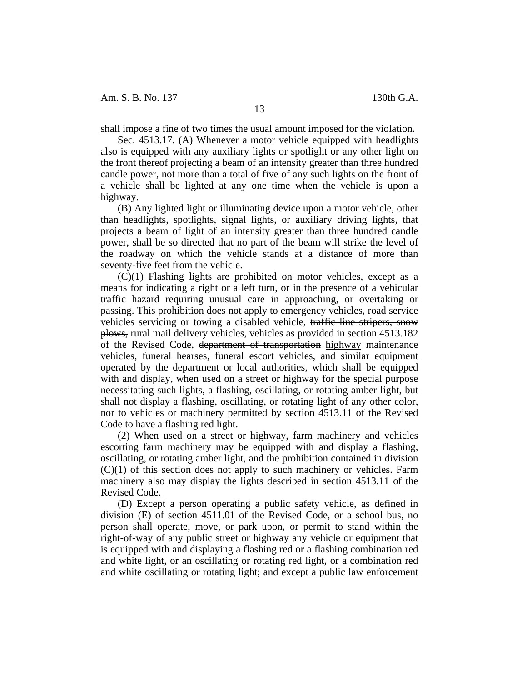shall impose a fine of two times the usual amount imposed for the violation.

Sec. 4513.17. (A) Whenever a motor vehicle equipped with headlights also is equipped with any auxiliary lights or spotlight or any other light on the front thereof projecting a beam of an intensity greater than three hundred candle power, not more than a total of five of any such lights on the front of a vehicle shall be lighted at any one time when the vehicle is upon a highway.

(B) Any lighted light or illuminating device upon a motor vehicle, other than headlights, spotlights, signal lights, or auxiliary driving lights, that projects a beam of light of an intensity greater than three hundred candle power, shall be so directed that no part of the beam will strike the level of the roadway on which the vehicle stands at a distance of more than seventy-five feet from the vehicle.

(C)(1) Flashing lights are prohibited on motor vehicles, except as a means for indicating a right or a left turn, or in the presence of a vehicular traffic hazard requiring unusual care in approaching, or overtaking or passing. This prohibition does not apply to emergency vehicles, road service vehicles servicing or towing a disabled vehicle, traffic line stripers, snow plows, rural mail delivery vehicles, vehicles as provided in section 4513.182 of the Revised Code, department of transportation highway maintenance vehicles, funeral hearses, funeral escort vehicles, and similar equipment operated by the department or local authorities, which shall be equipped with and display, when used on a street or highway for the special purpose necessitating such lights, a flashing, oscillating, or rotating amber light, but shall not display a flashing, oscillating, or rotating light of any other color, nor to vehicles or machinery permitted by section 4513.11 of the Revised Code to have a flashing red light.

(2) When used on a street or highway, farm machinery and vehicles escorting farm machinery may be equipped with and display a flashing, oscillating, or rotating amber light, and the prohibition contained in division  $(C)(1)$  of this section does not apply to such machinery or vehicles. Farm machinery also may display the lights described in section 4513.11 of the Revised Code.

(D) Except a person operating a public safety vehicle, as defined in division (E) of section 4511.01 of the Revised Code, or a school bus, no person shall operate, move, or park upon, or permit to stand within the right-of-way of any public street or highway any vehicle or equipment that is equipped with and displaying a flashing red or a flashing combination red and white light, or an oscillating or rotating red light, or a combination red and white oscillating or rotating light; and except a public law enforcement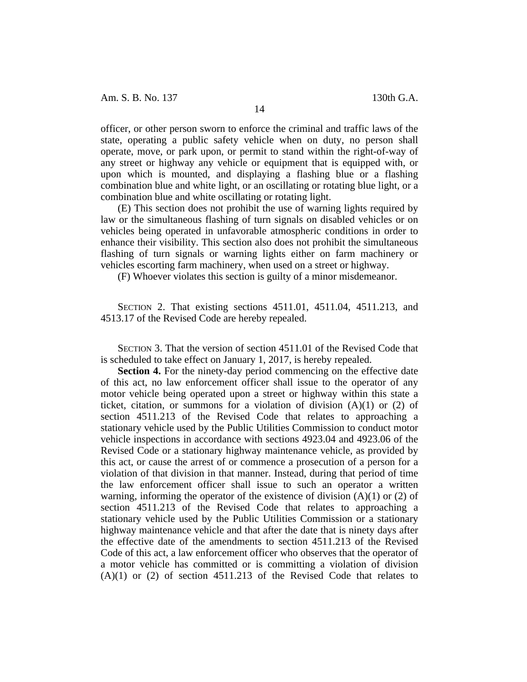officer, or other person sworn to enforce the criminal and traffic laws of the state, operating a public safety vehicle when on duty, no person shall operate, move, or park upon, or permit to stand within the right-of-way of any street or highway any vehicle or equipment that is equipped with, or upon which is mounted, and displaying a flashing blue or a flashing combination blue and white light, or an oscillating or rotating blue light, or a combination blue and white oscillating or rotating light.

(E) This section does not prohibit the use of warning lights required by law or the simultaneous flashing of turn signals on disabled vehicles or on vehicles being operated in unfavorable atmospheric conditions in order to enhance their visibility. This section also does not prohibit the simultaneous flashing of turn signals or warning lights either on farm machinery or vehicles escorting farm machinery, when used on a street or highway.

(F) Whoever violates this section is guilty of a minor misdemeanor.

SECTION 2. That existing sections 4511.01, 4511.04, 4511.213, and 4513.17 of the Revised Code are hereby repealed.

SECTION 3. That the version of section 4511.01 of the Revised Code that is scheduled to take effect on January 1, 2017, is hereby repealed.

**Section 4.** For the ninety-day period commencing on the effective date of this act, no law enforcement officer shall issue to the operator of any motor vehicle being operated upon a street or highway within this state a ticket, citation, or summons for a violation of division  $(A)(1)$  or  $(2)$  of section 4511.213 of the Revised Code that relates to approaching a stationary vehicle used by the Public Utilities Commission to conduct motor vehicle inspections in accordance with sections 4923.04 and 4923.06 of the Revised Code or a stationary highway maintenance vehicle, as provided by this act, or cause the arrest of or commence a prosecution of a person for a violation of that division in that manner. Instead, during that period of time the law enforcement officer shall issue to such an operator a written warning, informing the operator of the existence of division  $(A)(1)$  or  $(2)$  of section 4511.213 of the Revised Code that relates to approaching a stationary vehicle used by the Public Utilities Commission or a stationary highway maintenance vehicle and that after the date that is ninety days after the effective date of the amendments to section 4511.213 of the Revised Code of this act, a law enforcement officer who observes that the operator of a motor vehicle has committed or is committing a violation of division  $(A)(1)$  or  $(2)$  of section 4511.213 of the Revised Code that relates to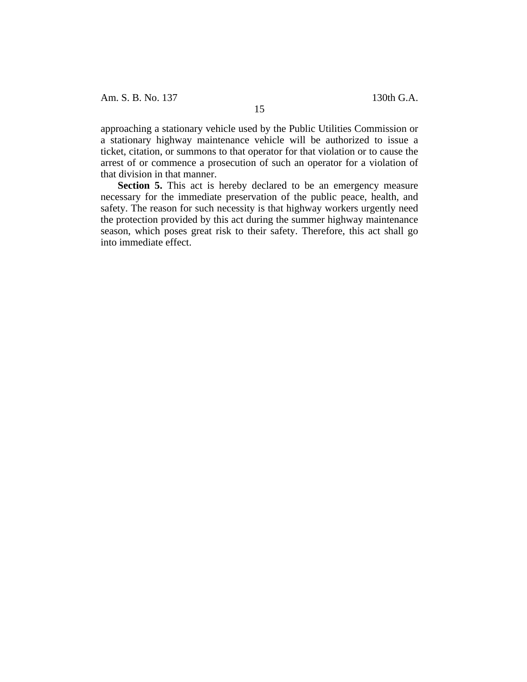approaching a stationary vehicle used by the Public Utilities Commission or a stationary highway maintenance vehicle will be authorized to issue a ticket, citation, or summons to that operator for that violation or to cause the arrest of or commence a prosecution of such an operator for a violation of that division in that manner.

**Section 5.** This act is hereby declared to be an emergency measure necessary for the immediate preservation of the public peace, health, and safety. The reason for such necessity is that highway workers urgently need the protection provided by this act during the summer highway maintenance season, which poses great risk to their safety. Therefore, this act shall go into immediate effect.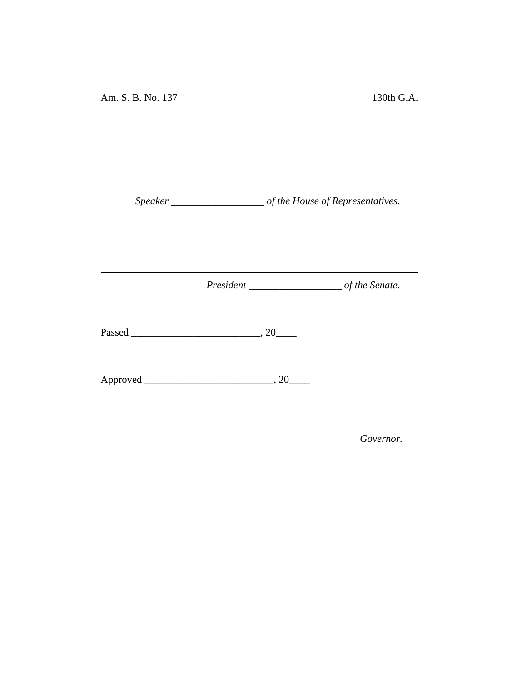*Speaker \_\_\_\_\_\_\_\_\_\_\_\_\_\_\_\_\_\_ of the House of Representatives.*

<u> 1980 - Johann Barn, mars an t-Amerikaansk kommunister (</u>

*President \_\_\_\_\_\_\_\_\_\_\_\_\_\_\_\_\_\_ of the Senate.*

<u> 1989 - Johann Barnett, fransk politiker (</u>

Passed \_\_\_\_\_\_\_\_\_\_\_\_\_\_\_\_\_\_\_\_\_\_\_\_\_, 20\_\_\_\_

Approved \_\_\_\_\_\_\_\_\_\_\_\_\_\_\_\_\_\_\_\_\_\_\_\_\_, 20\_\_\_\_

*Governor.*